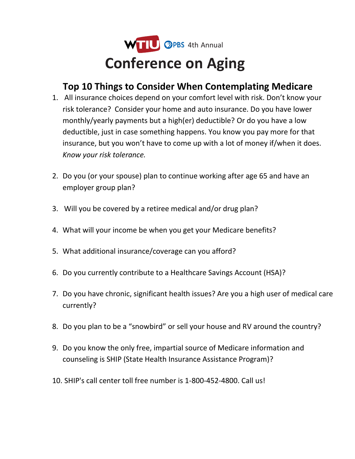

## **Top 10 Things to Consider When Contemplating Medicare**

- 1. All insurance choices depend on your comfort level with risk. Don't know your risk tolerance? Consider your home and auto insurance. Do you have lower monthly/yearly payments but a high(er) deductible? Or do you have a low deductible, just in case something happens. You know you pay more for that insurance, but you won't have to come up with a lot of money if/when it does. *Know your risk tolerance.*
- 2. Do you (or your spouse) plan to continue working after age 65 and have an employer group plan?
- 3. Will you be covered by a retiree medical and/or drug plan?
- 4. What will your income be when you get your Medicare benefits?
- 5. What additional insurance/coverage can you afford?
- 6. Do you currently contribute to a Healthcare Savings Account (HSA)?
- 7. Do you have chronic, significant health issues? Are you a high user of medical care currently?
- 8. Do you plan to be a "snowbird" or sell your house and RV around the country?
- 9. Do you know the only free, impartial source of Medicare information and counseling is SHIP (State Health Insurance Assistance Program)?
- 10. SHIP's call center toll free number is 1-800-452-4800. Call us!